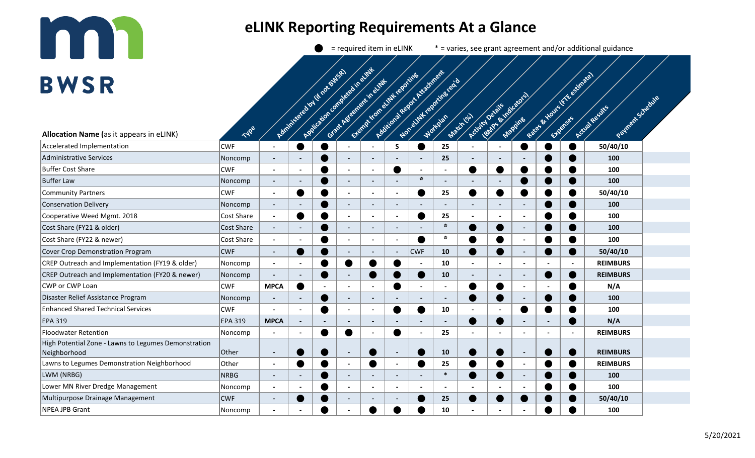## **ITAL**

## **eLINK Reporting Requirements At a Glance**

 $\bullet$  = required item in eLINK  $*$  = varies, see grant agreement and/or additional guidance

| <b>BWSR</b>                                                          |             |                          |                          |                                     |                                |                                                            |                          |                                                            |                                                   |                              |                          |                                  | Rate & Hours K Ke estimated |                          |                                       |  |  |
|----------------------------------------------------------------------|-------------|--------------------------|--------------------------|-------------------------------------|--------------------------------|------------------------------------------------------------|--------------------------|------------------------------------------------------------|---------------------------------------------------|------------------------------|--------------------------|----------------------------------|-----------------------------|--------------------------|---------------------------------------|--|--|
| Allocation Name (as it appears in eLINK)                             | Type        |                          |                          | Administered to You (th rot of WSA) | Application complete bin every | Exempt from elimit reporting<br>Grant Assembly of the Chat |                          | Additional Region Activement<br>Non-elimit regoring text o |                                                   | Activity Details<br>Machi da |                          | <b>Golfas &amp; Reichichical</b> |                             |                          | Patrick's creative<br>Actival Results |  |  |
| Accelerated Implementation                                           | <b>CWF</b>  |                          |                          |                                     |                                | $\blacksquare$                                             | S.                       | $\bullet$                                                  | 25                                                |                              |                          | D                                |                             | $\bullet$                | 50/40/10                              |  |  |
| Administrative Services                                              | Noncomp     | $\overline{\phantom{a}}$ | $\blacksquare$           |                                     | $\blacksquare$                 | $\overline{\phantom{a}}$                                   | $\blacksquare$           | $\blacksquare$                                             | 25                                                | $\overline{\phantom{a}}$     |                          |                                  |                             |                          | 100                                   |  |  |
| Buffer Cost Share                                                    | <b>CWF</b>  | $\blacksquare$           | $\sim$                   |                                     | $\blacksquare$                 | $\blacksquare$                                             |                          | $\blacksquare$                                             | $\blacksquare$                                    | ●                            | $\bullet$                |                                  |                             |                          | 100                                   |  |  |
| <b>Buffer Law</b>                                                    | Noncomp     | $\blacksquare$           |                          |                                     | $\overline{\phantom{a}}$       | $\overline{\phantom{a}}$                                   | $\blacksquare$           | $\frac{\partial \mathbf{r}}{\partial \mathbf{r}}$          |                                                   |                              |                          |                                  |                             |                          | 100                                   |  |  |
| Community Partners                                                   | <b>CWF</b>  | $\blacksquare$           |                          |                                     | $\overline{\phantom{a}}$       | $\overline{\phantom{a}}$                                   | $\blacksquare$           |                                                            | 25                                                | D                            |                          |                                  |                             |                          | 50/40/10                              |  |  |
| Conservation Delivery                                                | Noncomp     | $\blacksquare$           | $\blacksquare$           |                                     | $\overline{\phantom{a}}$       | $\overline{\phantom{a}}$                                   | $\blacksquare$           | $\overline{\phantom{a}}$                                   |                                                   | $\blacksquare$               | $\blacksquare$           |                                  |                             |                          | 100                                   |  |  |
| Cooperative Weed Mgmt. 2018                                          | Cost Share  | $\blacksquare$           |                          |                                     | $\overline{a}$                 |                                                            | $\blacksquare$           |                                                            | 25                                                |                              |                          |                                  |                             |                          | 100                                   |  |  |
| Cost Share (FY21 & older)                                            | Cost Share  |                          | $\blacksquare$           |                                     | $\overline{\phantom{0}}$       | $\overline{\phantom{a}}$                                   | $\blacksquare$           |                                                            | $\frac{\partial \mathbf{F}}{\partial \mathbf{F}}$ |                              |                          |                                  |                             |                          | 100                                   |  |  |
| Cost Share (FY22 & newer)                                            | Cost Share  |                          |                          |                                     |                                |                                                            | $\blacksquare$           |                                                            | $\mathcal{C}_{\mathcal{C}}$                       |                              |                          |                                  |                             |                          | 100                                   |  |  |
| Cover Crop Demonstration Program                                     | <b>CWF</b>  | $\sim$                   |                          |                                     | $\overline{\phantom{a}}$       | $\overline{\phantom{a}}$                                   | $\overline{\phantom{a}}$ | <b>CWF</b>                                                 | 10                                                |                              |                          | $\blacksquare$                   |                             |                          | 50/40/10                              |  |  |
| CREP Outreach and Implementation (FY19 & older)                      | Noncomp     | $\blacksquare$           | $\blacksquare$           |                                     |                                | ●                                                          |                          | $\sim$                                                     | 10                                                | $\overline{a}$               | $\sim$                   | $\overline{a}$                   | $\overline{\phantom{a}}$    | $\overline{\phantom{a}}$ | <b>REIMBURS</b>                       |  |  |
| CREP Outreach and Implementation (FY20 & newer)                      | Noncomp     | $\blacksquare$           | $\overline{\phantom{a}}$ |                                     | $\overline{\phantom{a}}$       |                                                            |                          | ●                                                          | 10                                                | $\overline{\phantom{a}}$     | $\blacksquare$           | $\blacksquare$                   |                             |                          | <b>REIMBURS</b>                       |  |  |
| CWP or CWP Loan                                                      | <b>CWF</b>  | <b>MPCA</b>              |                          |                                     | $\overline{\phantom{a}}$       | $\blacksquare$                                             |                          | $\blacksquare$                                             |                                                   |                              |                          | $\overline{\phantom{a}}$         | $\overline{\phantom{a}}$    |                          | N/A                                   |  |  |
| Disaster Relief Assistance Program                                   | Noncomp     |                          |                          |                                     |                                | $\blacksquare$                                             |                          | $\overline{\phantom{a}}$                                   |                                                   |                              |                          |                                  |                             |                          | 100                                   |  |  |
| <b>Enhanced Shared Technical Services</b>                            | <b>CWF</b>  | $\overline{\phantom{a}}$ | $\blacksquare$           | D                                   |                                | ÷,                                                         |                          | D                                                          | 10                                                | $\blacksquare$               |                          | $\bullet$                        |                             |                          | 100                                   |  |  |
| <b>EPA 319</b>                                                       | EPA 319     | <b>MPCA</b>              | $\blacksquare$           |                                     | $\overline{\phantom{0}}$       | $\overline{\phantom{a}}$                                   | $\overline{\phantom{a}}$ | $\blacksquare$                                             | $\overline{\phantom{0}}$                          |                              |                          |                                  | $\blacksquare$              |                          | N/A                                   |  |  |
| <b>Floodwater Retention</b>                                          | Noncomp     | $\overline{\phantom{a}}$ | $\sim$                   | D                                   |                                | $\blacksquare$                                             |                          | $\blacksquare$                                             | 25                                                | $\blacksquare$               | $\overline{\phantom{a}}$ | $\blacksquare$                   | $\blacksquare$              | $\overline{\phantom{a}}$ | <b>REIMBURS</b>                       |  |  |
| High Potential Zone - Lawns to Legumes Demonstration<br>Neighborhood | Other       | $\blacksquare$           |                          | ٠                                   | $\overline{\phantom{a}}$       |                                                            | $\blacksquare$           |                                                            | 10                                                |                              |                          | $\blacksquare$                   |                             |                          | <b>REIMBURS</b>                       |  |  |
| Lawns to Legumes Demonstration Neighborhood                          | Other       | $\blacksquare$           |                          |                                     | $\blacksquare$                 | ●                                                          | $\blacksquare$           |                                                            | 25                                                |                              |                          | $\blacksquare$                   |                             |                          | <b>REIMBURS</b>                       |  |  |
| LWM (NRBG)                                                           | <b>NRBG</b> | $\blacksquare$           |                          |                                     | $\hbox{\small -}$              |                                                            | $\blacksquare$           | $\overline{\phantom{a}}$                                   | $\ast$                                            |                              |                          | $\blacksquare$                   |                             |                          | 100                                   |  |  |
| Lower MN River Dredge Management                                     | Noncomp     | $\overline{\phantom{a}}$ |                          |                                     |                                | $\overline{\phantom{a}}$                                   | $\blacksquare$           | $\overline{\phantom{a}}$                                   |                                                   |                              |                          | $\overline{\phantom{a}}$         |                             |                          | 100                                   |  |  |
| Multipurpose Drainage Management                                     | <b>CWF</b>  |                          |                          |                                     |                                |                                                            |                          |                                                            | 25                                                |                              |                          |                                  |                             |                          | 50/40/10                              |  |  |
| NPEA JPB Grant                                                       | Noncomp     |                          |                          |                                     |                                |                                                            |                          |                                                            | 10                                                |                              |                          |                                  |                             |                          | 100                                   |  |  |
|                                                                      |             |                          |                          |                                     |                                |                                                            |                          |                                                            |                                                   |                              |                          |                                  |                             |                          |                                       |  |  |